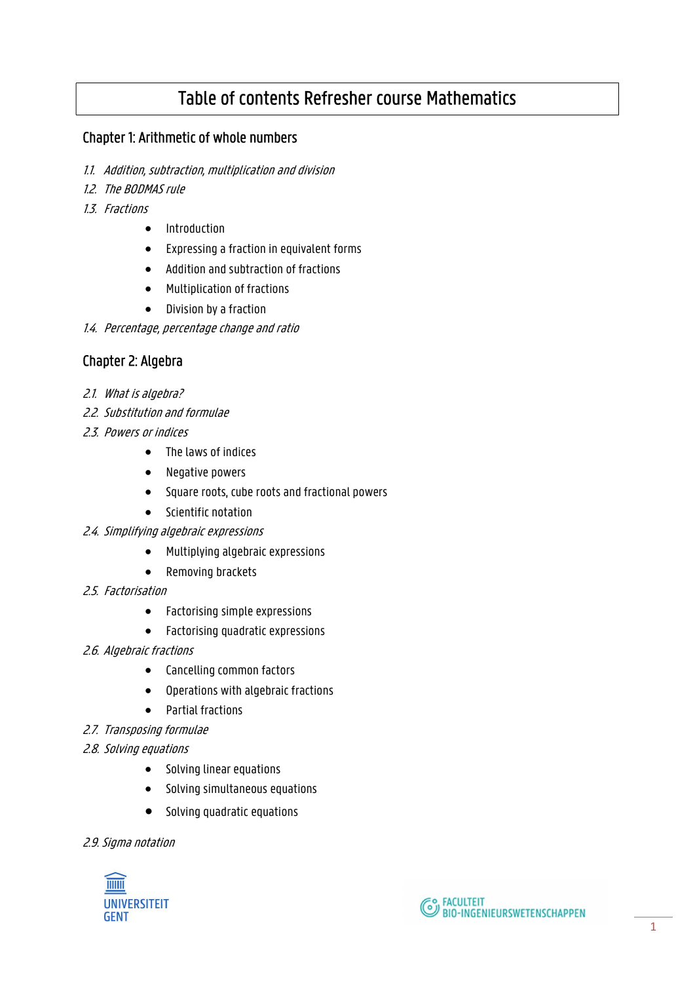# Table of contents Refresher course Mathematics

# Chapter 1: Arithmetic of whole numbers

- 1.1. Addition, subtraction, multiplication and division
- 1.2. The BODMAS rule
- 1.3. Fractions
	- Introduction
	- Expressing a fraction in equivalent forms
	- Addition and subtraction of fractions
	- Multiplication of fractions
	- Division by a fraction
- 1.4. Percentage, percentage change and ratio

# Chapter 2: Algebra

- 2.1. What is algebra?
- 2.2. Substitution and formulae
- 2.3. Powers or indices
	- The laws of indices
	- Negative powers
	- Square roots, cube roots and fractional powers
	- Scientific notation
- 2.4. Simplifying algebraic expressions
	- Multiplying algebraic expressions
	- Removing brackets
- 2.5. Factorisation
	- Factorising simple expressions
	- Factorising quadratic expressions
- 2.6. Algebraic fractions
	- Cancelling common factors
	- Operations with algebraic fractions
	- Partial fractions
- 2.7. Transposing formulae
- 2.8. Solving equations
	- Solving linear equations
	- Solving simultaneous equations
	- Solving quadratic equations
- 2.9. Sigma notation

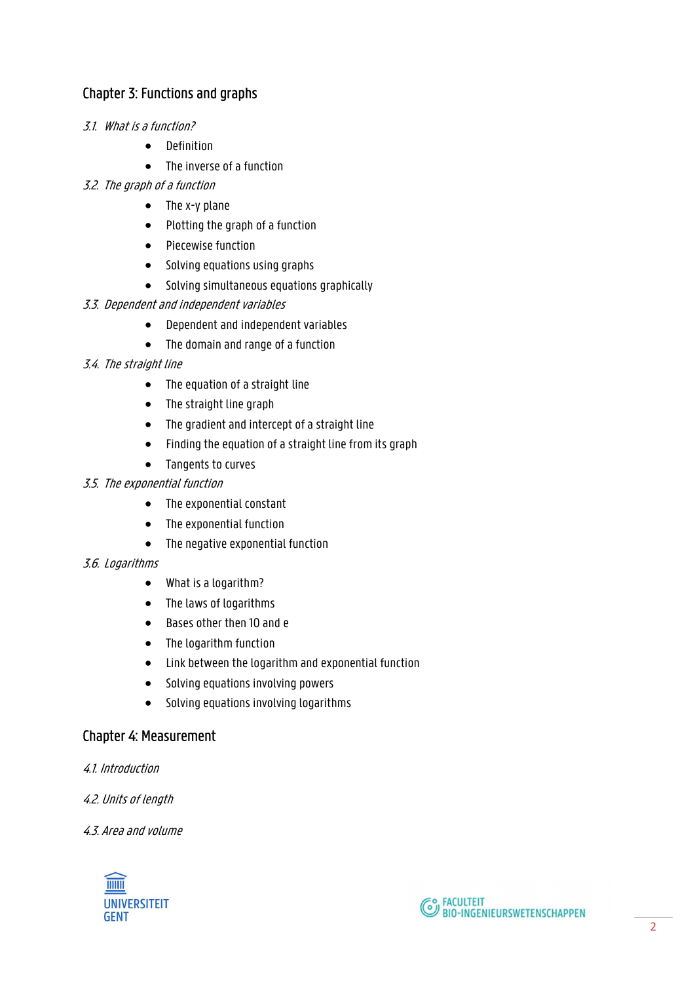# Chapter 3: Functions and graphs

- 3.1. What is a function?
	- Definition
	- The inverse of a function
- 3.2. The graph of a function
	- The x-y plane
	- Plotting the graph of a function
	- Piecewise function
	- Solving equations using graphs
	- Solving simultaneous equations graphically
- 3.3. Dependent and independent variables
	- Dependent and independent variables
	- The domain and range of a function
- 3.4. The straight line
	- The equation of a straight line
	- The straight line graph
	- The gradient and intercept of a straight line
	- Finding the equation of a straight line from its graph
	- Tangents to curves

#### 3.5. The exponential function

- The exponential constant
- The exponential function
- The negative exponential function

#### 3.6. Logarithms

- What is a logarithm?
- The laws of logarithms
- Bases other then 10 and e
- The logarithm function
- Link between the logarithm and exponential function
- Solving equations involving powers
- Solving equations involving logarithms

### Chapter 4: Measurement

- 4.1. Introduction
- 4.2. Units of length

4.3. Area and volume